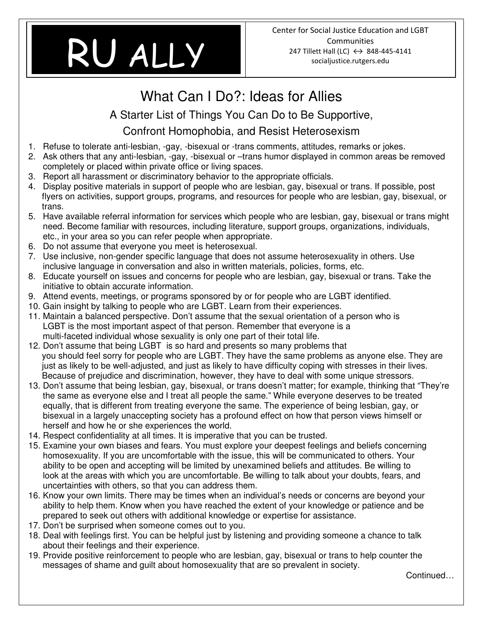# **Bisexuality Basics**  RU ALLY

## What Can I Do?: Ideas for Allies

A Starter List of Things You Can Do to Be Supportive,

### Confront Homophobia, and Resist Heterosexism

- 1. Refuse to tolerate anti-lesbian, -gay, -bisexual or -trans comments, attitudes, remarks or jokes.
- 2. Ask others that any anti-lesbian, -gay, -bisexual or –trans humor displayed in common areas be removed completely or placed within private office or living spaces.
- 3. Report all harassment or discriminatory behavior to the appropriate officials.
- 4. Display positive materials in support of people who are lesbian, gay, bisexual or trans. If possible, post flyers on activities, support groups, programs, and resources for people who are lesbian, gay, bisexual, or trans.
- 5. Have available referral information for services which people who are lesbian, gay, bisexual or trans might need. Become familiar with resources, including literature, support groups, organizations, individuals, etc., in your area so you can refer people when appropriate.
- 6. Do not assume that everyone you meet is heterosexual.
- 7. Use inclusive, non-gender specific language that does not assume heterosexuality in others. Use inclusive language in conversation and also in written materials, policies, forms, etc.
- 8. Educate yourself on issues and concerns for people who are lesbian, gay, bisexual or trans. Take the initiative to obtain accurate information.
- 9. Attend events, meetings, or programs sponsored by or for people who are LGBT identified.
- 10. Gain insight by talking to people who are LGBT. Learn from their experiences.
- 11. Maintain a balanced perspective. Don't assume that the sexual orientation of a person who is LGBT is the most important aspect of that person. Remember that everyone is a multi-faceted individual whose sexuality is only one part of their total life.
- 12. Don't assume that being LGBT is so hard and presents so many problems that you should feel sorry for people who are LGBT. They have the same problems as anyone else. They are just as likely to be well-adjusted, and just as likely to have difficulty coping with stresses in their lives. Because of prejudice and discrimination, however, they have to deal with some unique stressors.
- 13. Don't assume that being lesbian, gay, bisexual, or trans doesn't matter; for example, thinking that "They're the same as everyone else and I treat all people the same." While everyone deserves to be treated equally, that is different from treating everyone the same. The experience of being lesbian, gay, or bisexual in a largely unaccepting society has a profound effect on how that person views himself or herself and how he or she experiences the world.
- 14. Respect confidentiality at all times. It is imperative that you can be trusted.
- 15. Examine your own biases and fears. You must explore your deepest feelings and beliefs concerning homosexuality. If you are uncomfortable with the issue, this will be communicated to others. Your ability to be open and accepting will be limited by unexamined beliefs and attitudes. Be willing to look at the areas with which you are uncomfortable. Be willing to talk about your doubts, fears, and uncertainties with others, so that you can address them.
- 16. Know your own limits. There may be times when an individual's needs or concerns are beyond your ability to help them. Know when you have reached the extent of your knowledge or patience and be prepared to seek out others with additional knowledge or expertise for assistance.
- 17. Don't be surprised when someone comes out to you.
- 18. Deal with feelings first. You can be helpful just by listening and providing someone a chance to talk about their feelings and their experience.
- 19. Provide positive reinforcement to people who are lesbian, gay, bisexual or trans to help counter the messages of shame and guilt about homosexuality that are so prevalent in society.

Continued…